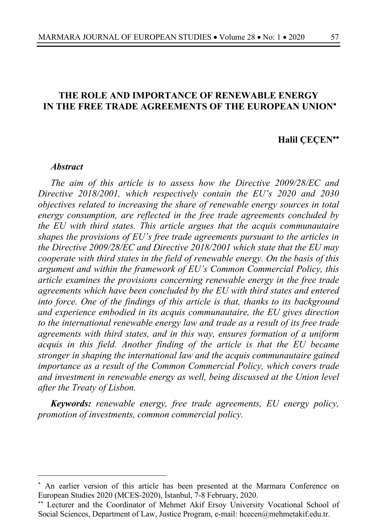## **THE ROLE AND IMPORTANCE OF RENEWABLE ENERGY IN THE FREE TRADE AGREEMENTS OF THE EUROPEAN UNION**\*

# **Halil ÇEÇEN**\*\*

#### *Abstract*

*The aim of this article is to assess how the Directive 2009/28/EC and Directive 2018/2001, which respectively contain the EU's 2020 and 2030 objectives related to increasing the share of renewable energy sources in total energy consumption, are reflected in the free trade agreements concluded by the EU with third states. This article argues that the acquis communautaire shapes the provisions of EU's free trade agreements pursuant to the articles in the Directive 2009/28/EC and Directive 2018/2001 which state that the EU may cooperate with third states in the field of renewable energy. On the basis of this argument and within the framework of EU's Common Commercial Policy, this article examines the provisions concerning renewable energy in the free trade agreements which have been concluded by the EU with third states and entered into force. One of the findings of this article is that, thanks to its background and experience embodied in its acquis communautaire, the EU gives direction to the international renewable energy law and trade as a result of its free trade agreements with third states, and in this way, ensures formation of a uniform acquis in this field. Another finding of the article is that the EU became stronger in shaping the international law and the acquis communautaire gained importance as a result of the Common Commercial Policy, which covers trade and investment in renewable energy as well, being discussed at the Union level after the Treaty of Lisbon.*

*Keywords: renewable energy, free trade agreements, EU energy policy, promotion of investments, common commercial policy.*

<sup>\*</sup> An earlier version of this article has been presented at the Marmara Conference on European Studies 2020 (MCES-2020), İstanbul, 7-8 February, 2020.

<sup>\*\*</sup> Lecturer and the Coordinator of Mehmet Akif Ersoy University Vocational School of Social Sciences, Department of Law, Justice Program, e-mail: hcecen@mehmetakif.edu.tr.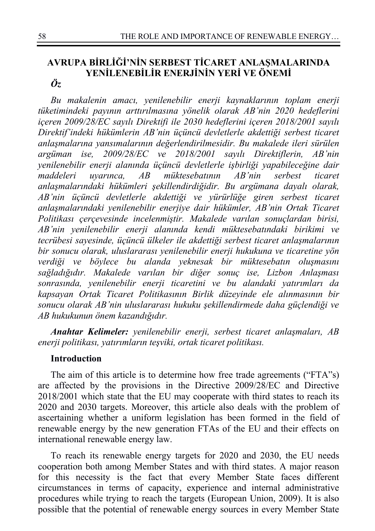### **AVRUPA BİRLİĞİ'NİN SERBEST TİCARET ANLAŞMALARINDA YENİLENEBİLİR ENERJİNİN YERİ VE ÖNEMİ** *Öz*

*Bu makalenin amacı, yenilenebilir enerji kaynaklarının toplam enerji tüketimindeki payının arttırılmasına yönelik olarak AB'nin 2020 hedeflerini içeren 2009/28/EC sayılı Direktifi ile 2030 hedeflerini içeren 2018/2001 sayılı Direktif'indeki hükümlerin AB'nin üçüncü devletlerle akdettiği serbest ticaret anlaşmalarına yansımalarının değerlendirilmesidir. Bu makalede ileri sürülen argüman ise, 2009/28/EC ve 2018/2001 sayılı Direktiflerin, AB'nin yenilenebilir enerji alanında üçüncü devletlerle işbirliği yapabileceğine dair maddeleri uyarınca, AB müktesebatının AB'nin serbest ticaret anlaşmalarındaki hükümleri şekillendirdiğidir. Bu argümana dayalı olarak, AB'nin üçüncü devletlerle akdettiği ve yürürlüğe giren serbest ticaret anlaşmalarındaki yenilenebilir enerjiye dair hükümler, AB'nin Ortak Ticaret Politikası çerçevesinde incelenmiştir. Makalede varılan sonuçlardan birisi, AB'nin yenilenebilir enerji alanında kendi müktesebatındaki birikimi ve tecrübesi sayesinde, üçüncü ülkeler ile akdettiği serbest ticaret anlaşmalarının bir sonucu olarak, uluslararası yenilenebilir enerji hukukuna ve ticaretine yön verdiği ve böylece bu alanda yeknesak bir müktesebatın oluşmasını sağladığıdır. Makalede varılan bir diğer sonuç ise, Lizbon Anlaşması sonrasında, yenilenebilir enerji ticaretini ve bu alandaki yatırımları da kapsayan Ortak Ticaret Politikasının Birlik düzeyinde ele alınmasının bir sonucu olarak AB'nin uluslararası hukuku şekillendirmede daha güçlendiği ve AB hukukunun önem kazandığıdır.*

*Anahtar Kelimeler: yenilenebilir enerji, serbest ticaret anlaşmaları, AB enerji politikası, yatırımların teşviki, ortak ticaret politikası.*

### **Introduction**

The aim of this article is to determine how free trade agreements ("FTA"s) are affected by the provisions in the Directive 2009/28/EC and Directive 2018/2001 which state that the EU may cooperate with third states to reach its 2020 and 2030 targets. Moreover, this article also deals with the problem of ascertaining whether a uniform legislation has been formed in the field of renewable energy by the new generation FTAs of the EU and their effects on international renewable energy law.

To reach its renewable energy targets for 2020 and 2030, the EU needs cooperation both among Member States and with third states. A major reason for this necessity is the fact that every Member State faces different circumstances in terms of capacity, experience and internal administrative procedures while trying to reach the targets (European Union, 2009). It is also possible that the potential of renewable energy sources in every Member State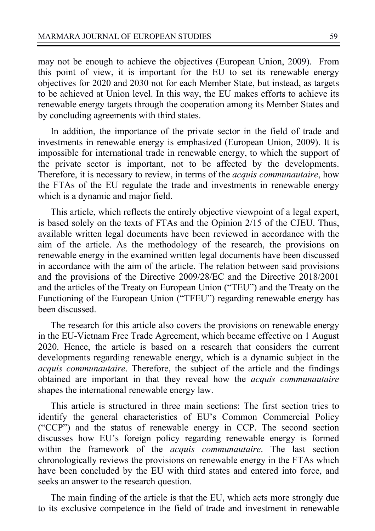may not be enough to achieve the objectives (European Union, 2009). From this point of view, it is important for the EU to set its renewable energy objectives for 2020 and 2030 not for each Member State, but instead, as targets to be achieved at Union level. In this way, the EU makes efforts to achieve its renewable energy targets through the cooperation among its Member States and by concluding agreements with third states.

In addition, the importance of the private sector in the field of trade and investments in renewable energy is emphasized (European Union, 2009). It is impossible for international trade in renewable energy, to which the support of the private sector is important, not to be affected by the developments. Therefore, it is necessary to review, in terms of the *acquis communautaire*, how the FTAs of the EU regulate the trade and investments in renewable energy which is a dynamic and major field.

This article, which reflects the entirely objective viewpoint of a legal expert, is based solely on the texts of FTAs and the Opinion 2/15 of the CJEU. Thus, available written legal documents have been reviewed in accordance with the aim of the article. As the methodology of the research, the provisions on renewable energy in the examined written legal documents have been discussed in accordance with the aim of the article. The relation between said provisions and the provisions of the Directive 2009/28/EC and the Directive 2018/2001 and the articles of the Treaty on European Union ("TEU") and the Treaty on the Functioning of the European Union ("TFEU") regarding renewable energy has been discussed.

The research for this article also covers the provisions on renewable energy in the EU-Vietnam Free Trade Agreement, which became effective on 1 August 2020. Hence, the article is based on a research that considers the current developments regarding renewable energy, which is a dynamic subject in the *acquis communautaire*. Therefore, the subject of the article and the findings obtained are important in that they reveal how the *acquis communautaire* shapes the international renewable energy law.

This article is structured in three main sections: The first section tries to identify the general characteristics of EU's Common Commercial Policy ("CCP") and the status of renewable energy in CCP. The second section discusses how EU's foreign policy regarding renewable energy is formed within the framework of the *acquis communautaire*. The last section chronologically reviews the provisions on renewable energy in the FTAs which have been concluded by the EU with third states and entered into force, and seeks an answer to the research question.

The main finding of the article is that the EU, which acts more strongly due to its exclusive competence in the field of trade and investment in renewable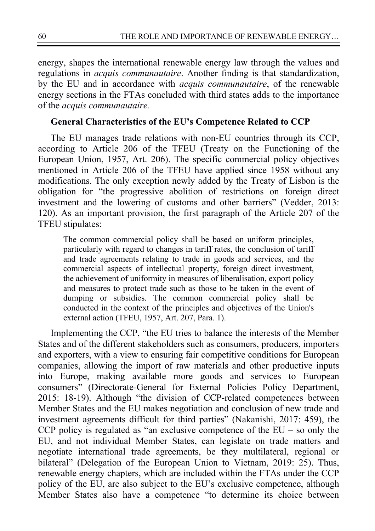energy, shapes the international renewable energy law through the values and regulations in *acquis communautaire*. Another finding is that standardization, by the EU and in accordance with *acquis communautaire*, of the renewable energy sections in the FTAs concluded with third states adds to the importance of the *acquis communautaire.*

### **General Characteristics of the EU's Competence Related to CCP**

The EU manages trade relations with non-EU countries through its CCP, according to Article 206 of the TFEU (Treaty on the Functioning of the European Union, 1957, Art. 206). The specific commercial policy objectives mentioned in Article 206 of the TFEU have applied since 1958 without any modifications. The only exception newly added by the Treaty of Lisbon is the obligation for "the progressive abolition of restrictions on foreign direct investment and the lowering of customs and other barriers" (Vedder, 2013: 120). As an important provision, the first paragraph of the Article 207 of the TFEU stipulates:

The common commercial policy shall be based on uniform principles, particularly with regard to changes in tariff rates, the conclusion of tariff and trade agreements relating to trade in goods and services, and the commercial aspects of intellectual property, foreign direct investment, the achievement of uniformity in measures of liberalisation, export policy and measures to protect trade such as those to be taken in the event of dumping or subsidies. The common commercial policy shall be conducted in the context of the principles and objectives of the Union's external action (TFEU, 1957, Art. 207, Para. 1).

Implementing the CCP, "the EU tries to balance the interests of the Member States and of the different stakeholders such as consumers, producers, importers and exporters, with a view to ensuring fair competitive conditions for European companies, allowing the import of raw materials and other productive inputs into Europe, making available more goods and services to European consumers" (Directorate-General for External Policies Policy Department, 2015: 18-19). Although "the division of CCP-related competences between Member States and the EU makes negotiation and conclusion of new trade and investment agreements difficult for third parties" (Nakanishi, 2017: 459), the CCP policy is regulated as "an exclusive competence of the  $EU - so$  only the EU, and not individual Member States, can legislate on trade matters and negotiate international trade agreements, be they multilateral, regional or bilateral" (Delegation of the European Union to Vietnam, 2019: 25). Thus, renewable energy chapters, which are included within the FTAs under the CCP policy of the EU, are also subject to the EU's exclusive competence, although Member States also have a competence "to determine its choice between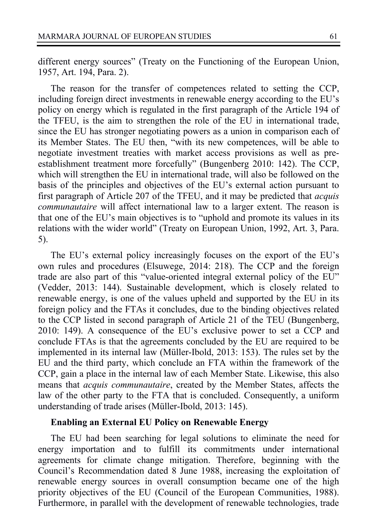1957, Art. 194, Para. 2).

different energy sources" (Treaty on the Functioning of the European Union,

The reason for the transfer of competences related to setting the CCP, including foreign direct investments in renewable energy according to the EU's policy on energy which is regulated in the first paragraph of the Article 194 of the TFEU, is the aim to strengthen the role of the EU in international trade, since the EU has stronger negotiating powers as a union in comparison each of its Member States. The EU then, "with its new competences, will be able to negotiate investment treaties with market access provisions as well as preestablishment treatment more forcefully" (Bungenberg 2010: 142). The CCP, which will strengthen the EU in international trade, will also be followed on the basis of the principles and objectives of the EU's external action pursuant to first paragraph of Article 207 of the TFEU, and it may be predicted that *acquis communautaire* will affect international law to a larger extent. The reason is that one of the EU's main objectives is to "uphold and promote its values in its relations with the wider world" (Treaty on European Union, 1992, Art. 3, Para. 5).

The EU's external policy increasingly focuses on the export of the EU's own rules and procedures (Elsuwege, 2014: 218). The CCP and the foreign trade are also part of this "value-oriented integral external policy of the EU" (Vedder, 2013: 144). Sustainable development, which is closely related to renewable energy, is one of the values upheld and supported by the EU in its foreign policy and the FTAs it concludes, due to the binding objectives related to the CCP listed in second paragraph of Article 21 of the TEU (Bungenberg, 2010: 149). A consequence of the EU's exclusive power to set a CCP and conclude FTAs is that the agreements concluded by the EU are required to be implemented in its internal law (Müller-Ibold, 2013: 153). The rules set by the EU and the third party, which conclude an FTA within the framework of the CCP, gain a place in the internal law of each Member State. Likewise, this also means that *acquis communautaire*, created by the Member States, affects the law of the other party to the FTA that is concluded. Consequently, a uniform understanding of trade arises (Müller-Ibold, 2013: 145).

### **Enabling an External EU Policy on Renewable Energy**

The EU had been searching for legal solutions to eliminate the need for energy importation and to fulfill its commitments under international agreements for climate change mitigation. Therefore, beginning with the Council's Recommendation dated 8 June 1988, increasing the exploitation of renewable energy sources in overall consumption became one of the high priority objectives of the EU (Council of the European Communities, 1988). Furthermore, in parallel with the development of renewable technologies, trade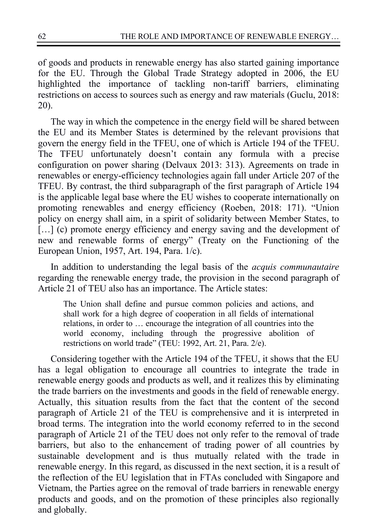of goods and products in renewable energy has also started gaining importance for the EU. Through the Global Trade Strategy adopted in 2006, the EU highlighted the importance of tackling non-tariff barriers, eliminating restrictions on access to sources such as energy and raw materials (Guclu, 2018: 20).

The way in which the competence in the energy field will be shared between the EU and its Member States is determined by the relevant provisions that govern the energy field in the TFEU, one of which is Article 194 of the TFEU. The TFEU unfortunately doesn't contain any formula with a precise configuration on power sharing (Delvaux 2013: 313). Agreements on trade in renewables or energy-efficiency technologies again fall under Article 207 of the TFEU. By contrast, the third subparagraph of the first paragraph of Article 194 is the applicable legal base where the EU wishes to cooperate internationally on promoting renewables and energy efficiency (Roeben, 2018: 171). "Union policy on energy shall aim, in a spirit of solidarity between Member States, to [...] (c) promote energy efficiency and energy saving and the development of new and renewable forms of energy" (Treaty on the Functioning of the European Union, 1957, Art. 194, Para. 1/c).

In addition to understanding the legal basis of the *acquis communautaire* regarding the renewable energy trade, the provision in the second paragraph of Article 21 of TEU also has an importance. The Article states:

The Union shall define and pursue common policies and actions, and shall work for a high degree of cooperation in all fields of international relations, in order to … encourage the integration of all countries into the world economy, including through the progressive abolition of restrictions on world trade" (TEU: 1992, Art. 21, Para. 2/e).

Considering together with the Article 194 of the TFEU, it shows that the EU has a legal obligation to encourage all countries to integrate the trade in renewable energy goods and products as well, and it realizes this by eliminating the trade barriers on the investments and goods in the field of renewable energy. Actually, this situation results from the fact that the content of the second paragraph of Article 21 of the TEU is comprehensive and it is interpreted in broad terms. The integration into the world economy referred to in the second paragraph of Article 21 of the TEU does not only refer to the removal of trade barriers, but also to the enhancement of trading power of all countries by sustainable development and is thus mutually related with the trade in renewable energy. In this regard, as discussed in the next section, it is a result of the reflection of the EU legislation that in FTAs concluded with Singapore and Vietnam, the Parties agree on the removal of trade barriers in renewable energy products and goods, and on the promotion of these principles also regionally and globally.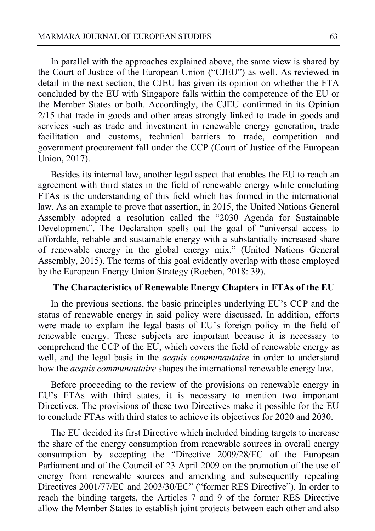In parallel with the approaches explained above, the same view is shared by the Court of Justice of the European Union ("CJEU") as well. As reviewed in detail in the next section, the CJEU has given its opinion on whether the FTA concluded by the EU with Singapore falls within the competence of the EU or the Member States or both. Accordingly, the CJEU confirmed in its Opinion 2/15 that trade in goods and other areas strongly linked to trade in goods and services such as trade and investment in renewable energy generation, trade facilitation and customs, technical barriers to trade, competition and government procurement fall under the CCP (Court of Justice of the European Union, 2017).

Besides its internal law, another legal aspect that enables the EU to reach an agreement with third states in the field of renewable energy while concluding FTAs is the understanding of this field which has formed in the international law. As an example to prove that assertion, in 2015, the United Nations General Assembly adopted a resolution called the "2030 Agenda for Sustainable Development". The Declaration spells out the goal of "universal access to affordable, reliable and sustainable energy with a substantially increased share of renewable energy in the global energy mix." (United Nations General Assembly, 2015). The terms of this goal evidently overlap with those employed by the European Energy Union Strategy (Roeben, 2018: 39).

### **The Characteristics of Renewable Energy Chapters in FTAs of the EU**

In the previous sections, the basic principles underlying EU's CCP and the status of renewable energy in said policy were discussed. In addition, efforts were made to explain the legal basis of EU's foreign policy in the field of renewable energy. These subjects are important because it is necessary to comprehend the CCP of the EU, which covers the field of renewable energy as well, and the legal basis in the *acquis communautaire* in order to understand how the *acquis communautaire* shapes the international renewable energy law.

Before proceeding to the review of the provisions on renewable energy in EU's FTAs with third states, it is necessary to mention two important Directives. The provisions of these two Directives make it possible for the EU to conclude FTAs with third states to achieve its objectives for 2020 and 2030.

The EU decided its first Directive which included binding targets to increase the share of the energy consumption from renewable sources in overall energy consumption by accepting the "Directive 2009/28/EC of the European Parliament and of the Council of 23 April 2009 on the promotion of the use of energy from renewable sources and amending and subsequently repealing Directives 2001/77/EC and 2003/30/EC" ("former RES Directive"). In order to reach the binding targets, the Articles 7 and 9 of the former RES Directive allow the Member States to establish joint projects between each other and also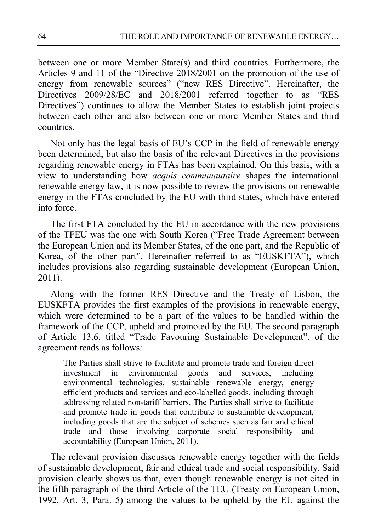between one or more Member State(s) and third countries. Furthermore, the Articles 9 and 11 of the "Directive 2018/2001 on the promotion of the use of energy from renewable sources" ("new RES Directive". Hereinafter, the Directives 2009/28/EC and 2018/2001 referred together to as "RES Directives") continues to allow the Member States to establish joint projects between each other and also between one or more Member States and third countries.

Not only has the legal basis of EU's CCP in the field of renewable energy been determined, but also the basis of the relevant Directives in the provisions regarding renewable energy in FTAs has been explained. On this basis, with a view to understanding how *acquis communautaire* shapes the international renewable energy law, it is now possible to review the provisions on renewable energy in the FTAs concluded by the EU with third states, which have entered into force.

The first FTA concluded by the EU in accordance with the new provisions of the TFEU was the one with South Korea ("Free Trade Agreement between the European Union and its Member States, of the one part, and the Republic of Korea, of the other part". Hereinafter referred to as "EUSKFTA"), which includes provisions also regarding sustainable development (European Union, 2011).

Along with the former RES Directive and the Treaty of Lisbon, the EUSKFTA provides the first examples of the provisions in renewable energy, which were determined to be a part of the values to be handled within the framework of the CCP, upheld and promoted by the EU. The second paragraph of Article 13.6, titled "Trade Favouring Sustainable Development", of the agreement reads as follows:

The Parties shall strive to facilitate and promote trade and foreign direct investment in environmental goods and services, including environmental technologies, sustainable renewable energy, energy efficient products and services and eco-labelled goods, including through addressing related non-tariff barriers. The Parties shall strive to facilitate and promote trade in goods that contribute to sustainable development, including goods that are the subject of schemes such as fair and ethical trade and those involving corporate social responsibility and accountability (European Union, 2011).

The relevant provision discusses renewable energy together with the fields of sustainable development, fair and ethical trade and social responsibility. Said provision clearly shows us that, even though renewable energy is not cited in the fifth paragraph of the third Article of the TEU (Treaty on European Union, 1992, Art. 3, Para. 5) among the values to be upheld by the EU against the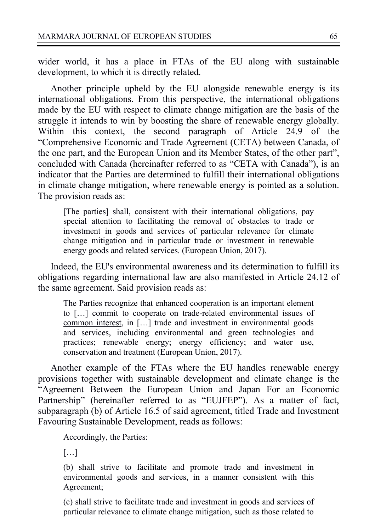wider world, it has a place in FTAs of the EU along with sustainable development, to which it is directly related.

Another principle upheld by the EU alongside renewable energy is its international obligations. From this perspective, the international obligations made by the EU with respect to climate change mitigation are the basis of the struggle it intends to win by boosting the share of renewable energy globally. Within this context, the second paragraph of Article 24.9 of the "Comprehensive Economic and Trade Agreement (CETA) between Canada, of the one part, and the European Union and its Member States, of the other part", concluded with Canada (hereinafter referred to as "CETA with Canada"), is an indicator that the Parties are determined to fulfill their international obligations in climate change mitigation, where renewable energy is pointed as a solution. The provision reads as:

[The parties] shall, consistent with their international obligations, pay special attention to facilitating the removal of obstacles to trade or investment in goods and services of particular relevance for climate change mitigation and in particular trade or investment in renewable energy goods and related services. (European Union, 2017).

Indeed, the EU's environmental awareness and its determination to fulfill its obligations regarding international law are also manifested in Article 24.12 of the same agreement. Said provision reads as:

The Parties recognize that enhanced cooperation is an important element to […] commit to cooperate on trade-related environmental issues of common interest, in […] trade and investment in environmental goods and services, including environmental and green technologies and practices; renewable energy; energy efficiency; and water use, conservation and treatment (European Union, 2017).

Another example of the FTAs where the EU handles renewable energy provisions together with sustainable development and climate change is the "Agreement Between the European Union and Japan For an Economic Partnership" (hereinafter referred to as "EUJFEP"). As a matter of fact, subparagraph (b) of Article 16.5 of said agreement, titled Trade and Investment Favouring Sustainable Development, reads as follows:

Accordingly, the Parties:

[…]

(b) shall strive to facilitate and promote trade and investment in environmental goods and services, in a manner consistent with this Agreement;

(c) shall strive to facilitate trade and investment in goods and services of particular relevance to climate change mitigation, such as those related to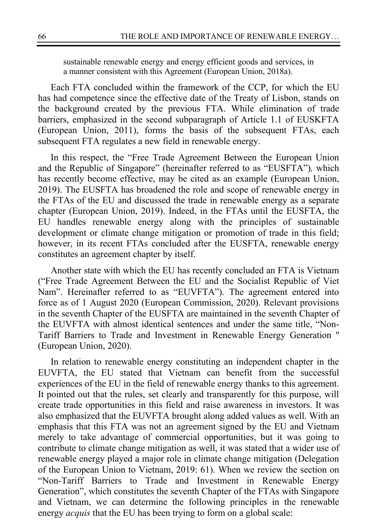sustainable renewable energy and energy efficient goods and services, in a manner consistent with this Agreement (European Union, 2018a).

Each FTA concluded within the framework of the CCP, for which the EU has had competence since the effective date of the Treaty of Lisbon, stands on the background created by the previous FTA. While elimination of trade barriers, emphasized in the second subparagraph of Article 1.1 of EUSKFTA (European Union, 2011), forms the basis of the subsequent FTAs, each subsequent FTA regulates a new field in renewable energy.

In this respect, the "Free Trade Agreement Between the European Union and the Republic of Singapore" (hereinafter referred to as "EUSFTA")*,* which has recently become effective, may be cited as an example (European Union, 2019). The EUSFTA has broadened the role and scope of renewable energy in the FTAs of the EU and discussed the trade in renewable energy as a separate chapter (European Union, 2019). Indeed, in the FTAs until the EUSFTA, the EU handles renewable energy along with the principles of sustainable development or climate change mitigation or promotion of trade in this field; however, in its recent FTAs concluded after the EUSFTA, renewable energy constitutes an agreement chapter by itself.

Another state with which the EU has recently concluded an FTA is Vietnam ("Free Trade Agreement Between the EU and the Socialist Republic of Viet Nam". Hereinafter referred to as "EUVFTA"). The agreement entered into force as of 1 August 2020 (European Commission, 2020). Relevant provisions in the seventh Chapter of the EUSFTA are maintained in the seventh Chapter of the EUVFTA with almost identical sentences and under the same title, "Non-Tariff Barriers to Trade and Investment in Renewable Energy Generation '' (European Union, 2020).

In relation to renewable energy constituting an independent chapter in the EUVFTA, the EU stated that Vietnam can benefit from the successful experiences of the EU in the field of renewable energy thanks to this agreement. It pointed out that the rules, set clearly and transparently for this purpose, will create trade opportunities in this field and raise awareness in investors. It was also emphasized that the EUVFTA brought along added values as well. With an emphasis that this FTA was not an agreement signed by the EU and Vietnam merely to take advantage of commercial opportunities, but it was going to contribute to climate change mitigation as well, it was stated that a wider use of renewable energy played a major role in climate change mitigation (Delegation of the European Union to Vietnam, 2019: 61). When we review the section on "Non-Tariff Barriers to Trade and Investment in Renewable Energy Generation", which constitutes the seventh Chapter of the FTAs with Singapore and Vietnam, we can determine the following principles in the renewable energy *acquis* that the EU has been trying to form on a global scale: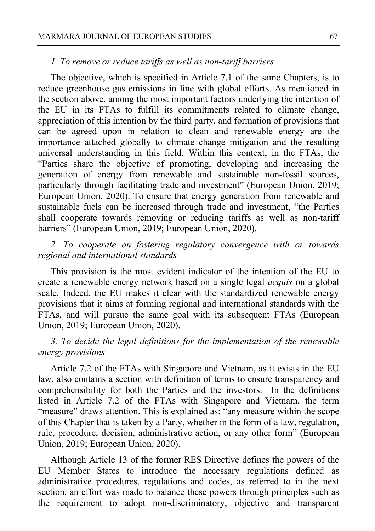### *1. To remove or reduce tariffs as well as non-tariff barriers*

The objective, which is specified in Article 7.1 of the same Chapters, is to reduce greenhouse gas emissions in line with global efforts. As mentioned in the section above, among the most important factors underlying the intention of the EU in its FTAs to fulfill its commitments related to climate change, appreciation of this intention by the third party, and formation of provisions that can be agreed upon in relation to clean and renewable energy are the importance attached globally to climate change mitigation and the resulting universal understanding in this field. Within this context, in the FTAs, the "Parties share the objective of promoting, developing and increasing the generation of energy from renewable and sustainable non-fossil sources, particularly through facilitating trade and investment" (European Union, 2019; European Union, 2020). To ensure that energy generation from renewable and sustainable fuels can be increased through trade and investment, "the Parties shall cooperate towards removing or reducing tariffs as well as non-tariff barriers" (European Union, 2019; European Union, 2020).

*2. To cooperate on fostering regulatory convergence with or towards regional and international standards*

This provision is the most evident indicator of the intention of the EU to create a renewable energy network based on a single legal *acquis* on a global scale. Indeed, the EU makes it clear with the standardized renewable energy provisions that it aims at forming regional and international standards with the FTAs, and will pursue the same goal with its subsequent FTAs (European Union, 2019; European Union, 2020).

### *3. To decide the legal definitions for the implementation of the renewable energy provisions*

Article 7.2 of the FTAs with Singapore and Vietnam, as it exists in the EU law, also contains a section with definition of terms to ensure transparency and comprehensibility for both the Parties and the investors. In the definitions listed in Article 7.2 of the FTAs with Singapore and Vietnam, the term "measure" draws attention. This is explained as: "any measure within the scope of this Chapter that is taken by a Party, whether in the form of a law, regulation, rule, procedure, decision, administrative action, or any other form" (European Union, 2019; European Union, 2020).

Although Article 13 of the former RES Directive defines the powers of the EU Member States to introduce the necessary regulations defined as administrative procedures, regulations and codes, as referred to in the next section, an effort was made to balance these powers through principles such as the requirement to adopt non-discriminatory, objective and transparent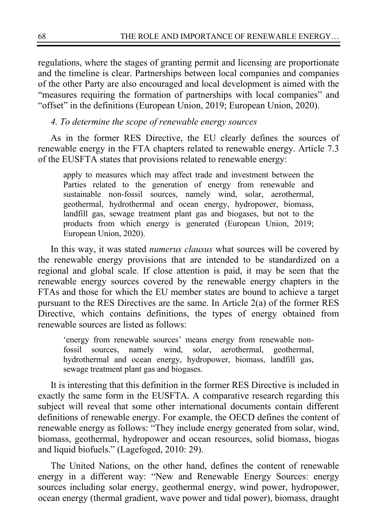regulations, where the stages of granting permit and licensing are proportionate and the timeline is clear. Partnerships between local companies and companies of the other Party are also encouraged and local development is aimed with the "measures requiring the formation of partnerships with local companies" and "offset" in the definitions (European Union, 2019; European Union, 2020).

### *4. To determine the scope of renewable energy sources*

As in the former RES Directive, the EU clearly defines the sources of renewable energy in the FTA chapters related to renewable energy. Article 7.3 of the EUSFTA states that provisions related to renewable energy:

apply to measures which may affect trade and investment between the Parties related to the generation of energy from renewable and sustainable non-fossil sources, namely wind, solar, aerothermal, geothermal, hydrothermal and ocean energy, hydropower, biomass, landfill gas, sewage treatment plant gas and biogases, but not to the products from which energy is generated (European Union, 2019; European Union, 2020).

In this way, it was stated *numerus clausus* what sources will be covered by the renewable energy provisions that are intended to be standardized on a regional and global scale. If close attention is paid, it may be seen that the renewable energy sources covered by the renewable energy chapters in the FTAs and those for which the EU member states are bound to achieve a target pursuant to the RES Directives are the same. In Article 2(a) of the former RES Directive, which contains definitions, the types of energy obtained from renewable sources are listed as follows:

'energy from renewable sources' means energy from renewable nonfossil sources, namely wind, solar, aerothermal, geothermal, hydrothermal and ocean energy, hydropower, biomass, landfill gas, sewage treatment plant gas and biogases.

It is interesting that this definition in the former RES Directive is included in exactly the same form in the EUSFTA. A comparative research regarding this subject will reveal that some other international documents contain different definitions of renewable energy. For example, the OECD defines the content of renewable energy as follows: "They include energy generated from solar, wind, biomass, geothermal, hydropower and ocean resources, solid biomass, biogas and liquid biofuels." (Lagefoged, 2010: 29).

The United Nations, on the other hand, defines the content of renewable energy in a different way: "New and Renewable Energy Sources: energy sources including solar energy, geothermal energy, wind power, hydropower, ocean energy (thermal gradient, wave power and tidal power), biomass, draught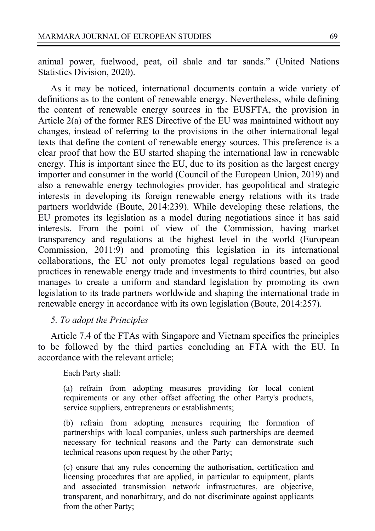animal power, fuelwood, peat, oil shale and tar sands." (United Nations Statistics Division, 2020).

As it may be noticed, international documents contain a wide variety of definitions as to the content of renewable energy. Nevertheless, while defining the content of renewable energy sources in the EUSFTA, the provision in Article 2(a) of the former RES Directive of the EU was maintained without any changes, instead of referring to the provisions in the other international legal texts that define the content of renewable energy sources. This preference is a clear proof that how the EU started shaping the international law in renewable energy. This is important since the EU, due to its position as the largest energy importer and consumer in the world (Council of the European Union, 2019) and also a renewable energy technologies provider, has geopolitical and strategic interests in developing its foreign renewable energy relations with its trade partners worldwide (Boute, 2014:239). While developing these relations, the EU promotes its legislation as a model during negotiations since it has said interests. From the point of view of the Commission, having market transparency and regulations at the highest level in the world (European Commission, 2011:9) and promoting this legislation in its international collaborations, the EU not only promotes legal regulations based on good practices in renewable energy trade and investments to third countries, but also manages to create a uniform and standard legislation by promoting its own legislation to its trade partners worldwide and shaping the international trade in renewable energy in accordance with its own legislation (Boute, 2014:257).

### *5. To adopt the Principles*

Article 7.4 of the FTAs with Singapore and Vietnam specifies the principles to be followed by the third parties concluding an FTA with the EU. In accordance with the relevant article;

Each Party shall:

(a) refrain from adopting measures providing for local content requirements or any other offset affecting the other Party's products, service suppliers, entrepreneurs or establishments;

(b) refrain from adopting measures requiring the formation of partnerships with local companies, unless such partnerships are deemed necessary for technical reasons and the Party can demonstrate such technical reasons upon request by the other Party;

(c) ensure that any rules concerning the authorisation, certification and licensing procedures that are applied, in particular to equipment, plants and associated transmission network infrastructures, are objective, transparent, and nonarbitrary, and do not discriminate against applicants from the other Party;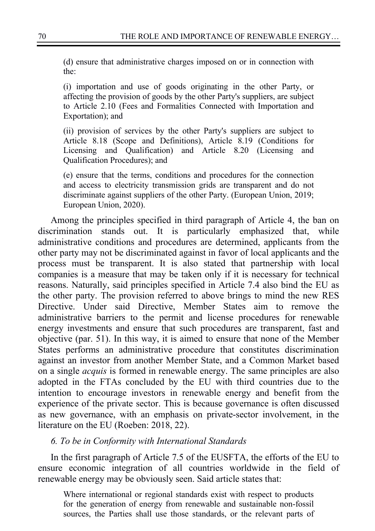(d) ensure that administrative charges imposed on or in connection with the:

(i) importation and use of goods originating in the other Party, or affecting the provision of goods by the other Party's suppliers, are subject to Article 2.10 (Fees and Formalities Connected with Importation and Exportation); and

(ii) provision of services by the other Party's suppliers are subject to Article 8.18 (Scope and Definitions), Article 8.19 (Conditions for Licensing and Qualification) and Article 8.20 (Licensing and Qualification Procedures); and

(e) ensure that the terms, conditions and procedures for the connection and access to electricity transmission grids are transparent and do not discriminate against suppliers of the other Party. (European Union, 2019; European Union, 2020).

Among the principles specified in third paragraph of Article 4, the ban on discrimination stands out. It is particularly emphasized that, while administrative conditions and procedures are determined, applicants from the other party may not be discriminated against in favor of local applicants and the process must be transparent. It is also stated that partnership with local companies is a measure that may be taken only if it is necessary for technical reasons. Naturally, said principles specified in Article 7.4 also bind the EU as the other party. The provision referred to above brings to mind the new RES Directive. Under said Directive, Member States aim to remove the administrative barriers to the permit and license procedures for renewable energy investments and ensure that such procedures are transparent, fast and objective (par. 51). In this way, it is aimed to ensure that none of the Member States performs an administrative procedure that constitutes discrimination against an investor from another Member State, and a Common Market based on a single *acquis* is formed in renewable energy. The same principles are also adopted in the FTAs concluded by the EU with third countries due to the intention to encourage investors in renewable energy and benefit from the experience of the private sector. This is because governance is often discussed as new governance, with an emphasis on private-sector involvement, in the literature on the EU (Roeben: 2018, 22).

### *6. To be in Conformity with International Standards*

In the first paragraph of Article 7.5 of the EUSFTA, the efforts of the EU to ensure economic integration of all countries worldwide in the field of renewable energy may be obviously seen. Said article states that:

Where international or regional standards exist with respect to products for the generation of energy from renewable and sustainable non-fossil sources, the Parties shall use those standards, or the relevant parts of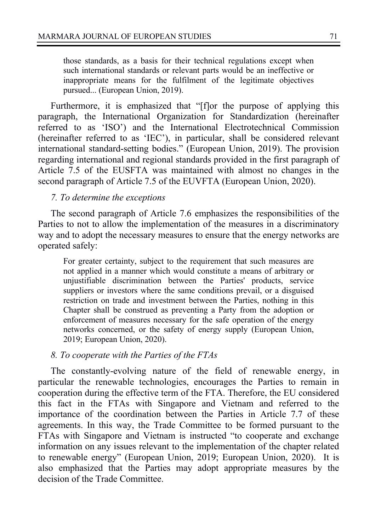those standards, as a basis for their technical regulations except when such international standards or relevant parts would be an ineffective or inappropriate means for the fulfilment of the legitimate objectives pursued... (European Union, 2019).

Furthermore, it is emphasized that "[f]or the purpose of applying this paragraph, the International Organization for Standardization (hereinafter referred to as 'ISO') and the International Electrotechnical Commission (hereinafter referred to as 'IEC'), in particular, shall be considered relevant international standard-setting bodies." (European Union, 2019). The provision regarding international and regional standards provided in the first paragraph of Article 7.5 of the EUSFTA was maintained with almost no changes in the second paragraph of Article 7.5 of the EUVFTA (European Union, 2020).

### *7. To determine the exceptions*

The second paragraph of Article 7.6 emphasizes the responsibilities of the Parties to not to allow the implementation of the measures in a discriminatory way and to adopt the necessary measures to ensure that the energy networks are operated safely:

For greater certainty, subject to the requirement that such measures are not applied in a manner which would constitute a means of arbitrary or unjustifiable discrimination between the Parties' products, service suppliers or investors where the same conditions prevail, or a disguised restriction on trade and investment between the Parties, nothing in this Chapter shall be construed as preventing a Party from the adoption or enforcement of measures necessary for the safe operation of the energy networks concerned, or the safety of energy supply (European Union, 2019; European Union, 2020).

#### *8. To cooperate with the Parties of the FTAs*

The constantly-evolving nature of the field of renewable energy, in particular the renewable technologies, encourages the Parties to remain in cooperation during the effective term of the FTA. Therefore, the EU considered this fact in the FTAs with Singapore and Vietnam and referred to the importance of the coordination between the Parties in Article 7.7 of these agreements. In this way, the Trade Committee to be formed pursuant to the FTAs with Singapore and Vietnam is instructed "to cooperate and exchange information on any issues relevant to the implementation of the chapter related to renewable energy" (European Union, 2019; European Union, 2020). It is also emphasized that the Parties may adopt appropriate measures by the decision of the Trade Committee.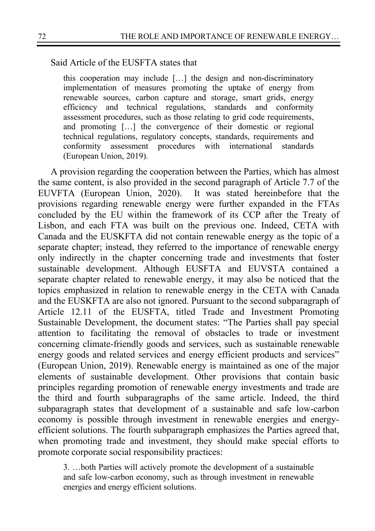Said Article of the EUSFTA states that

this cooperation may include […] the design and non-discriminatory implementation of measures promoting the uptake of energy from renewable sources, carbon capture and storage, smart grids, energy efficiency and technical regulations, standards and conformity assessment procedures, such as those relating to grid code requirements, and promoting […] the convergence of their domestic or regional technical regulations, regulatory concepts, standards, requirements and conformity assessment procedures with international standards (European Union, 2019).

A provision regarding the cooperation between the Parties, which has almost the same content, is also provided in the second paragraph of Article 7.7 of the EUVFTA (European Union, 2020). It was stated hereinbefore that the provisions regarding renewable energy were further expanded in the FTAs concluded by the EU within the framework of its CCP after the Treaty of Lisbon, and each FTA was built on the previous one. Indeed, CETA with Canada and the EUSKFTA did not contain renewable energy as the topic of a separate chapter; instead, they referred to the importance of renewable energy only indirectly in the chapter concerning trade and investments that foster sustainable development. Although EUSFTA and EUVSTA contained a separate chapter related to renewable energy, it may also be noticed that the topics emphasized in relation to renewable energy in the CETA with Canada and the EUSKFTA are also not ignored. Pursuant to the second subparagraph of Article 12.11 of the EUSFTA, titled Trade and Investment Promoting Sustainable Development, the document states: "The Parties shall pay special attention to facilitating the removal of obstacles to trade or investment concerning climate-friendly goods and services, such as sustainable renewable energy goods and related services and energy efficient products and services" (European Union, 2019). Renewable energy is maintained as one of the major elements of sustainable development. Other provisions that contain basic principles regarding promotion of renewable energy investments and trade are the third and fourth subparagraphs of the same article. Indeed, the third subparagraph states that development of a sustainable and safe low-carbon economy is possible through investment in renewable energies and energyefficient solutions. The fourth subparagraph emphasizes the Parties agreed that, when promoting trade and investment, they should make special efforts to promote corporate social responsibility practices:

3. …both Parties will actively promote the development of a sustainable and safe low-carbon economy, such as through investment in renewable energies and energy efficient solutions.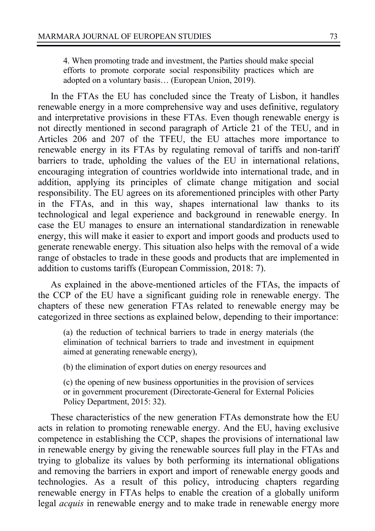4. When promoting trade and investment, the Parties should make special efforts to promote corporate social responsibility practices which are adopted on a voluntary basis… (European Union, 2019).

In the FTAs the EU has concluded since the Treaty of Lisbon, it handles renewable energy in a more comprehensive way and uses definitive, regulatory and interpretative provisions in these FTAs. Even though renewable energy is not directly mentioned in second paragraph of Article 21 of the TEU, and in Articles 206 and 207 of the TFEU, the EU attaches more importance to renewable energy in its FTAs by regulating removal of tariffs and non-tariff barriers to trade, upholding the values of the EU in international relations, encouraging integration of countries worldwide into international trade, and in addition, applying its principles of climate change mitigation and social responsibility. The EU agrees on its aforementioned principles with other Party in the FTAs, and in this way, shapes international law thanks to its technological and legal experience and background in renewable energy. In case the EU manages to ensure an international standardization in renewable energy, this will make it easier to export and import goods and products used to generate renewable energy. This situation also helps with the removal of a wide range of obstacles to trade in these goods and products that are implemented in addition to customs tariffs (European Commission, 2018: 7).

As explained in the above-mentioned articles of the FTAs, the impacts of the CCP of the EU have a significant guiding role in renewable energy. The chapters of these new generation FTAs related to renewable energy may be categorized in three sections as explained below, depending to their importance:

(a) the reduction of technical barriers to trade in energy materials (the elimination of technical barriers to trade and investment in equipment aimed at generating renewable energy),

(b) the elimination of export duties on energy resources and

(c) the opening of new business opportunities in the provision of services or in government procurement (Directorate-General for External Policies Policy Department, 2015: 32).

These characteristics of the new generation FTAs demonstrate how the EU acts in relation to promoting renewable energy. And the EU, having exclusive competence in establishing the CCP, shapes the provisions of international law in renewable energy by giving the renewable sources full play in the FTAs and trying to globalize its values by both performing its international obligations and removing the barriers in export and import of renewable energy goods and technologies. As a result of this policy, introducing chapters regarding renewable energy in FTAs helps to enable the creation of a globally uniform legal *acquis* in renewable energy and to make trade in renewable energy more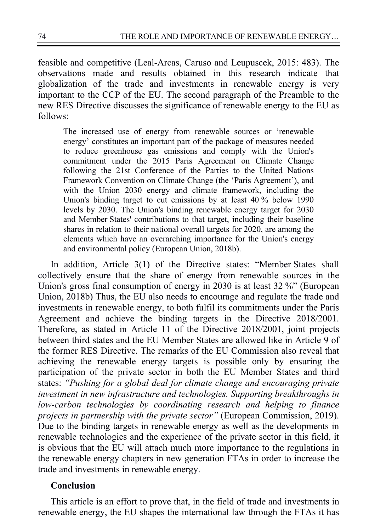feasible and competitive (Leal-Arcas, Caruso and Leupuscek, 2015: 483). The observations made and results obtained in this research indicate that globalization of the trade and investments in renewable energy is very important to the CCP of the EU. The second paragraph of the Preamble to the new RES Directive discusses the significance of renewable energy to the EU as follows:

The increased use of energy from renewable sources or 'renewable energy' constitutes an important part of the package of measures needed to reduce greenhouse gas emissions and comply with the Union's commitment under the 2015 Paris Agreement on Climate Change following the 21st Conference of the Parties to the United Nations Framework Convention on Climate Change (the 'Paris Agreement'), and with the Union 2030 energy and climate framework, including the Union's binding target to cut emissions by at least 40 % below 1990 levels by 2030. The Union's binding renewable energy target for 2030 and Member States' contributions to that target, including their baseline shares in relation to their national overall targets for 2020, are among the elements which have an overarching importance for the Union's energy and environmental policy (European Union, 2018b).

In addition, Article 3(1) of the Directive states: "Member States shall collectively ensure that the share of energy from renewable sources in the Union's gross final consumption of energy in 2030 is at least 32 %" (European Union, 2018b) Thus, the EU also needs to encourage and regulate the trade and investments in renewable energy, to both fulfil its commitments under the Paris Agreement and achieve the binding targets in the Directive 2018/2001. Therefore, as stated in Article 11 of the Directive 2018/2001, joint projects between third states and the EU Member States are allowed like in Article 9 of the former RES Directive. The remarks of the EU Commission also reveal that achieving the renewable energy targets is possible only by ensuring the participation of the private sector in both the EU Member States and third states: *"Pushing for a global deal for climate change and encouraging private investment in new infrastructure and technologies. Supporting breakthroughs in low-carbon technologies by coordinating research and helping to finance projects in partnership with the private sector"* (European Commission, 2019). Due to the binding targets in renewable energy as well as the developments in renewable technologies and the experience of the private sector in this field, it is obvious that the EU will attach much more importance to the regulations in the renewable energy chapters in new generation FTAs in order to increase the trade and investments in renewable energy.

## **Conclusion**

This article is an effort to prove that, in the field of trade and investments in renewable energy, the EU shapes the international law through the FTAs it has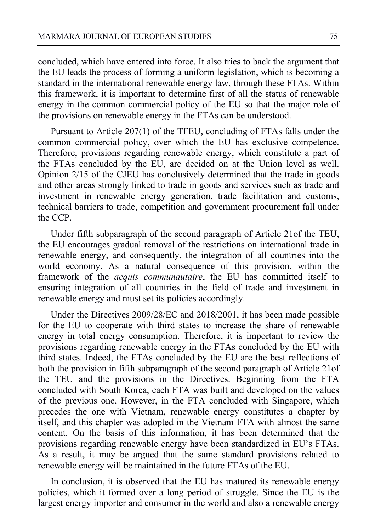concluded, which have entered into force. It also tries to back the argument that the EU leads the process of forming a uniform legislation, which is becoming a standard in the international renewable energy law, through these FTAs. Within this framework, it is important to determine first of all the status of renewable energy in the common commercial policy of the EU so that the major role of the provisions on renewable energy in the FTAs can be understood.

Pursuant to Article 207(1) of the TFEU, concluding of FTAs falls under the common commercial policy, over which the EU has exclusive competence. Therefore, provisions regarding renewable energy, which constitute a part of the FTAs concluded by the EU, are decided on at the Union level as well. Opinion 2/15 of the CJEU has conclusively determined that the trade in goods and other areas strongly linked to trade in goods and services such as trade and investment in renewable energy generation, trade facilitation and customs, technical barriers to trade, competition and government procurement fall under the CCP.

Under fifth subparagraph of the second paragraph of Article 21of the TEU, the EU encourages gradual removal of the restrictions on international trade in renewable energy, and consequently, the integration of all countries into the world economy. As a natural consequence of this provision, within the framework of the *acquis communautaire*, the EU has committed itself to ensuring integration of all countries in the field of trade and investment in renewable energy and must set its policies accordingly.

Under the Directives 2009/28/EC and 2018/2001, it has been made possible for the EU to cooperate with third states to increase the share of renewable energy in total energy consumption. Therefore, it is important to review the provisions regarding renewable energy in the FTAs concluded by the EU with third states. Indeed, the FTAs concluded by the EU are the best reflections of both the provision in fifth subparagraph of the second paragraph of Article 21of the TEU and the provisions in the Directives. Beginning from the FTA concluded with South Korea, each FTA was built and developed on the values of the previous one. However, in the FTA concluded with Singapore, which precedes the one with Vietnam, renewable energy constitutes a chapter by itself, and this chapter was adopted in the Vietnam FTA with almost the same content. On the basis of this information, it has been determined that the provisions regarding renewable energy have been standardized in EU's FTAs. As a result, it may be argued that the same standard provisions related to renewable energy will be maintained in the future FTAs of the EU.

In conclusion, it is observed that the EU has matured its renewable energy policies, which it formed over a long period of struggle. Since the EU is the largest energy importer and consumer in the world and also a renewable energy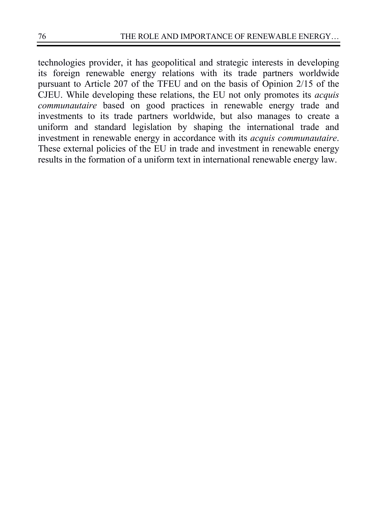technologies provider, it has geopolitical and strategic interests in developing its foreign renewable energy relations with its trade partners worldwide pursuant to Article 207 of the TFEU and on the basis of Opinion 2/15 of the CJEU. While developing these relations, the EU not only promotes its *acquis communautaire* based on good practices in renewable energy trade and investments to its trade partners worldwide, but also manages to create a uniform and standard legislation by shaping the international trade and investment in renewable energy in accordance with its *acquis communautaire*. These external policies of the EU in trade and investment in renewable energy results in the formation of a uniform text in international renewable energy law.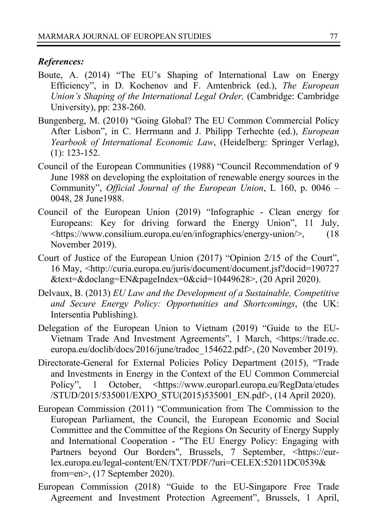#### *References:*

- Boute, A. (2014) "The EU's Shaping of International Law on Energy Efficiency", in D. Kochenov and F. Amtenbrick (ed.), *The European Union's Shaping of the International Legal Order,* (Cambridge: Cambridge University), pp: 238-260.
- Bungenberg, M. (2010) "Going Global? The EU Common Commercial Policy After Lisbon", in C. Herrmann and J. Philipp Terhechte (ed.), *European Yearbook of International Economic Law*, (Heidelberg: Springer Verlag), (1): 123-152.
- Council of the European Communities (1988) "Council Recommendation of 9 June 1988 on developing the exploitation of renewable energy sources in the Community", *Official Journal of the European Union*, L 160, p. 0046 – 0048, 28 June1988.
- Council of the European Union (2019) "Infographic Clean energy for Europeans: Key for driving forward the Energy Union", 11 July, <https://www.consilium.europa.eu/en/infographics/energy-union/>, (18 November 2019).
- Court of Justice of the European Union (2017) "Opinion 2/15 of the Court", 16 May, <http://curia.europa.eu/juris/document/document.jsf?docid=190727 &text=&doclang=EN&pageIndex=0&cid=10449628>, (20 April 2020).
- Delvaux, B. (2013) *EU Law and the Development of a Sustainable, Competitive and Secure Energy Policy: Opportunities and Shortcomings*, (the UK: Intersentia Publishing).
- Delegation of the European Union to Vietnam (2019) "Guide to the EU-Vietnam Trade And Investment Agreements", 1 March, <https://trade.ec. europa.eu/doclib/docs/2016/june/tradoc\_154622.pdf>, (20 November 2019).
- Directorate-General for External Policies Policy Department (2015), "Trade and Investments in Energy in the Context of the EU Common Commercial Policy", 1 October, <https://www.europarl.europa.eu/RegData/etudes /STUD/2015/535001/EXPO\_STU(2015)535001\_EN.pdf>, (14 April 2020).
- European Commission (2011) "Communication from The Commission to the European Parliament, the Council, the European Economic and Social Committee and the Committee of the Regions On Security of Energy Supply and International Cooperation - "The EU Energy Policy: Engaging with Partners beyond Our Borders", Brussels, 7 September, <https://eurlex.europa.eu/legal-content/EN/TXT/PDF/?uri=CELEX:52011DC0539& from=en>, (17 September 2020).
- European Commission (2018) "Guide to the EU-Singapore Free Trade Agreement and Investment Protection Agreement", Brussels, 1 April,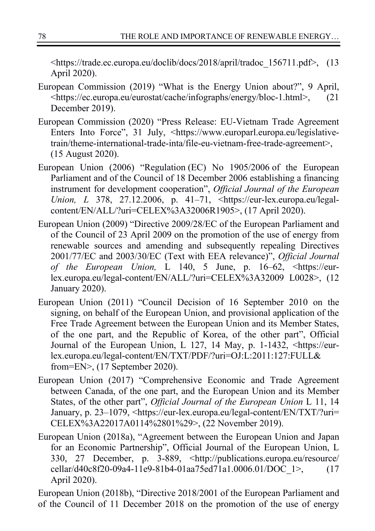<https://trade.ec.europa.eu/doclib/docs/2018/april/tradoc\_156711.pdf>, (13 April 2020).

- European Commission (2019) "What is the Energy Union about?", 9 April, <https://ec.europa.eu/eurostat/cache/infographs/energy/bloc-1.html>, (21 December 2019).
- European Commission (2020) "Press Release: EU-Vietnam Trade Agreement Enters Into Force", 31 July, <https://www.europarl.europa.eu/legislativetrain/theme-international-trade-inta/file-eu-vietnam-free-trade-agreement>, (15 August 2020).
- European Union (2006) "Regulation (EC) No 1905/2006 of the European Parliament and of the Council of 18 December 2006 establishing a financing instrument for development cooperation", *Official Journal of the European Union, L* 378, 27.12.2006, p. 41–71, <https://eur-lex.europa.eu/legalcontent/EN/ALL/?uri=CELEX%3A32006R1905>, (17 April 2020).
- European Union (2009) "Directive 2009/28/EC of the European Parliament and of the Council of 23 April 2009 on the promotion of the use of energy from renewable sources and amending and subsequently repealing Directives 2001/77/EC and 2003/30/EC (Text with EEA relevance)", *Official Journal of the European Union,* L 140, 5 June, p. 16–62, <https://eurlex.europa.eu/legal-content/EN/ALL/?uri=CELEX%3A32009 L0028>, (12 January 2020).
- European Union (2011) "Council Decision of 16 September 2010 on the signing, on behalf of the European Union, and provisional application of the Free Trade Agreement between the European Union and its Member States, of the one part, and the Republic of Korea, of the other part", Official Journal of the European Union, L 127, 14 May, p. 1-1432, <https://eurlex.europa.eu/legal-content/EN/TXT/PDF/?uri=OJ:L:2011:127:FULL& from=EN>, (17 September 2020).
- European Union (2017) "Comprehensive Economic and Trade Agreement between Canada, of the one part, and the European Union and its Member States, of the other part", *Official Journal of the European Union* L 11, 14 January, p. 23–1079, <https://eur-lex.europa.eu/legal-content/EN/TXT/?uri= CELEX%3A22017A0114%2801%29>, (22 November 2019).
- European Union (2018a), "Agreement between the European Union and Japan for an Economic Partnership", Official Journal of the European Union, L 330, 27 December, p. 3-889, <http://publications.europa.eu/resource/ cellar/d40c8f20-09a4-11e9-81b4-01aa75ed71a1.0006.01/DOC\_1>, (17 April 2020).

European Union (2018b), "Directive 2018/2001 of the European Parliament and of the Council of 11 December 2018 on the promotion of the use of energy